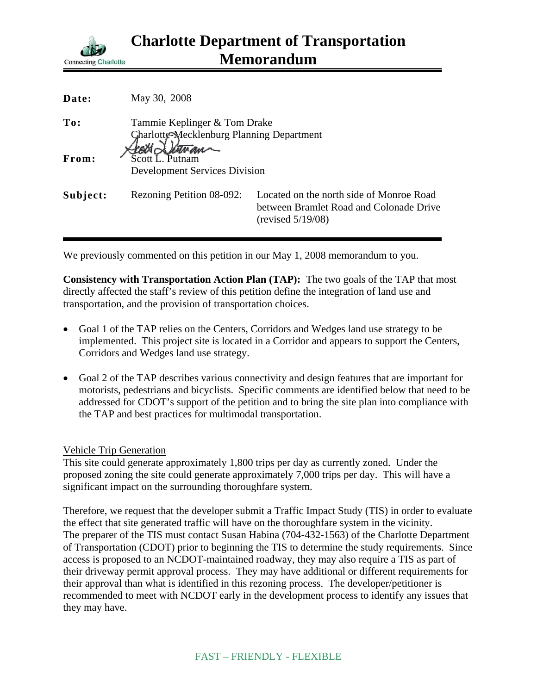

| Date:    | May 30, 2008                                                              |                                                                                                          |
|----------|---------------------------------------------------------------------------|----------------------------------------------------------------------------------------------------------|
| To:      | Tammie Keplinger & Tom Drake<br>Charlotte-Mecklenburg Planning Department |                                                                                                          |
| From:    | <b>Development Services Division</b>                                      |                                                                                                          |
| Subject: | Rezoning Petition 08-092:                                                 | Located on the north side of Monroe Road<br>between Bramlet Road and Colonade Drive<br>(revised 5/19/08) |

We previously commented on this petition in our May 1, 2008 memorandum to you.

**Consistency with Transportation Action Plan (TAP):** The two goals of the TAP that most directly affected the staff's review of this petition define the integration of land use and transportation, and the provision of transportation choices.

- Goal 1 of the TAP relies on the Centers, Corridors and Wedges land use strategy to be implemented. This project site is located in a Corridor and appears to support the Centers, Corridors and Wedges land use strategy.
- Goal 2 of the TAP describes various connectivity and design features that are important for motorists, pedestrians and bicyclists. Specific comments are identified below that need to be addressed for CDOT's support of the petition and to bring the site plan into compliance with the TAP and best practices for multimodal transportation.

Vehicle Trip Generation

This site could generate approximately 1,800 trips per day as currently zoned. Under the proposed zoning the site could generate approximately 7,000 trips per day. This will have a significant impact on the surrounding thoroughfare system.

Therefore, we request that the developer submit a Traffic Impact Study (TIS) in order to evaluate the effect that site generated traffic will have on the thoroughfare system in the vicinity. The preparer of the TIS must contact Susan Habina (704-432-1563) of the Charlotte Department of Transportation (CDOT) prior to beginning the TIS to determine the study requirements. Since access is proposed to an NCDOT-maintained roadway, they may also require a TIS as part of their driveway permit approval process. They may have additional or different requirements for their approval than what is identified in this rezoning process. The developer/petitioner is recommended to meet with NCDOT early in the development process to identify any issues that they may have.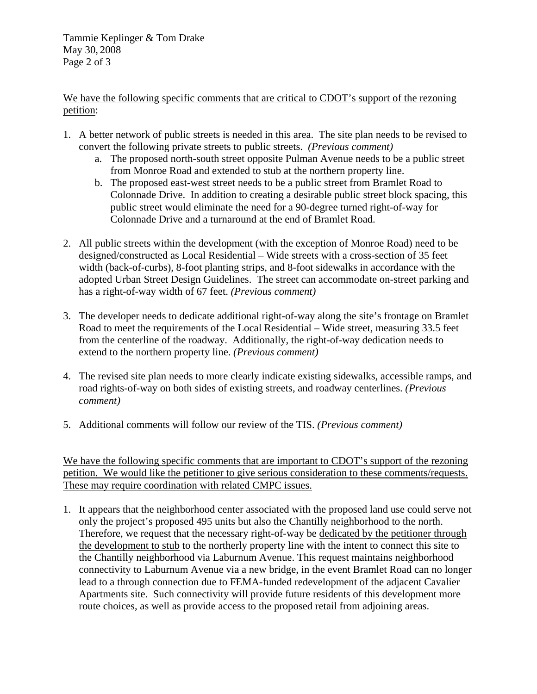Tammie Keplinger & Tom Drake May 30, 2008 Page 2 of 3

We have the following specific comments that are critical to CDOT's support of the rezoning petition:

- 1. A better network of public streets is needed in this area. The site plan needs to be revised to convert the following private streets to public streets. *(Previous comment)*
	- a. The proposed north-south street opposite Pulman Avenue needs to be a public street from Monroe Road and extended to stub at the northern property line.
	- b. The proposed east-west street needs to be a public street from Bramlet Road to Colonnade Drive. In addition to creating a desirable public street block spacing, this public street would eliminate the need for a 90-degree turned right-of-way for Colonnade Drive and a turnaround at the end of Bramlet Road.
- 2. All public streets within the development (with the exception of Monroe Road) need to be designed/constructed as Local Residential – Wide streets with a cross-section of 35 feet width (back-of-curbs), 8-foot planting strips, and 8-foot sidewalks in accordance with the adopted Urban Street Design Guidelines. The street can accommodate on-street parking and has a right-of-way width of 67 feet. *(Previous comment)*
- 3. The developer needs to dedicate additional right-of-way along the site's frontage on Bramlet Road to meet the requirements of the Local Residential – Wide street, measuring 33.5 feet from the centerline of the roadway. Additionally, the right-of-way dedication needs to extend to the northern property line. *(Previous comment)*
- 4. The revised site plan needs to more clearly indicate existing sidewalks, accessible ramps, and road rights-of-way on both sides of existing streets, and roadway centerlines. *(Previous comment)*
- 5. Additional comments will follow our review of the TIS. *(Previous comment)*

We have the following specific comments that are important to CDOT's support of the rezoning petition. We would like the petitioner to give serious consideration to these comments/requests. These may require coordination with related CMPC issues.

1. It appears that the neighborhood center associated with the proposed land use could serve not only the project's proposed 495 units but also the Chantilly neighborhood to the north. Therefore, we request that the necessary right-of-way be dedicated by the petitioner through the development to stub to the northerly property line with the intent to connect this site to the Chantilly neighborhood via Laburnum Avenue. This request maintains neighborhood connectivity to Laburnum Avenue via a new bridge, in the event Bramlet Road can no longer lead to a through connection due to FEMA-funded redevelopment of the adjacent Cavalier Apartments site. Such connectivity will provide future residents of this development more route choices, as well as provide access to the proposed retail from adjoining areas.